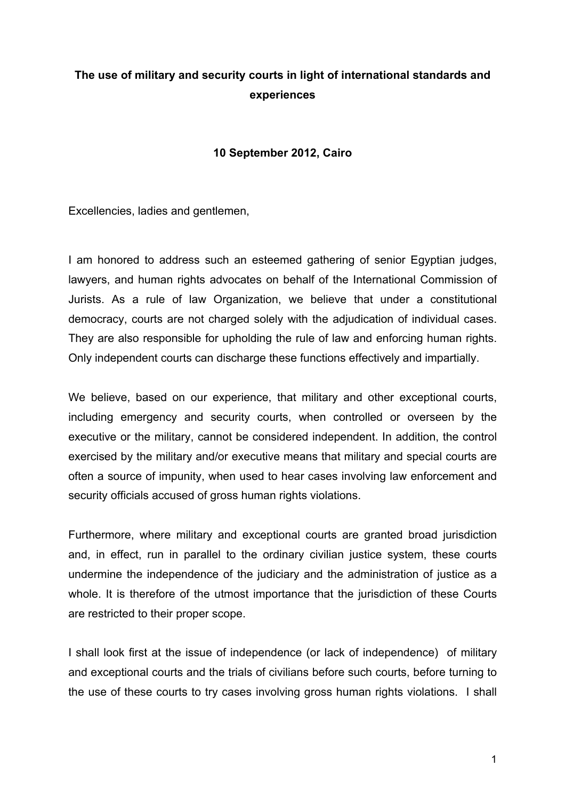# **The use of military and security courts in light of international standards and experiences**

### **10 September 2012, Cairo**

Excellencies, ladies and gentlemen,

I am honored to address such an esteemed gathering of senior Egyptian judges, lawyers, and human rights advocates on behalf of the International Commission of Jurists. As a rule of law Organization, we believe that under a constitutional democracy, courts are not charged solely with the adjudication of individual cases. They are also responsible for upholding the rule of law and enforcing human rights. Only independent courts can discharge these functions effectively and impartially.

We believe, based on our experience, that military and other exceptional courts, including emergency and security courts, when controlled or overseen by the executive or the military, cannot be considered independent. In addition, the control exercised by the military and/or executive means that military and special courts are often a source of impunity, when used to hear cases involving law enforcement and security officials accused of gross human rights violations.

Furthermore, where military and exceptional courts are granted broad jurisdiction and, in effect, run in parallel to the ordinary civilian justice system, these courts undermine the independence of the judiciary and the administration of justice as a whole. It is therefore of the utmost importance that the jurisdiction of these Courts are restricted to their proper scope.

I shall look first at the issue of independence (or lack of independence) of military and exceptional courts and the trials of civilians before such courts, before turning to the use of these courts to try cases involving gross human rights violations. I shall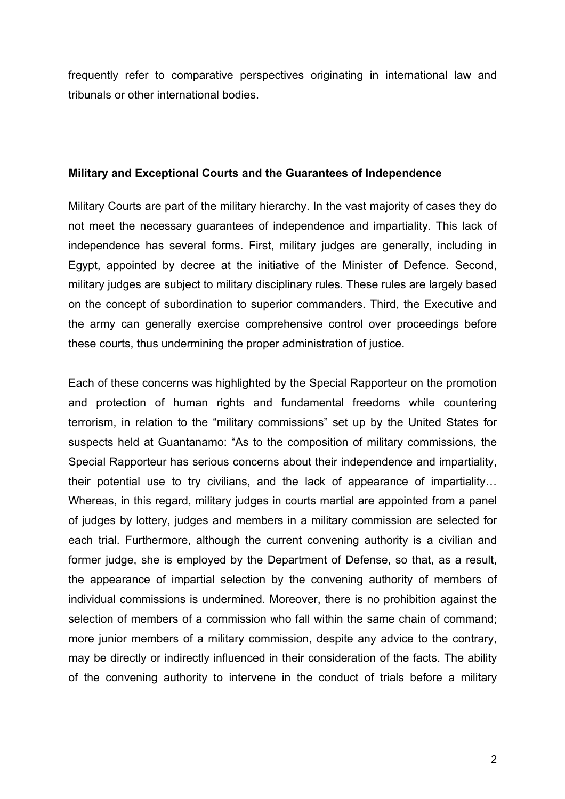frequently refer to comparative perspectives originating in international law and tribunals or other international bodies.

#### **Military and Exceptional Courts and the Guarantees of Independence**

Military Courts are part of the military hierarchy. In the vast majority of cases they do not meet the necessary guarantees of independence and impartiality. This lack of independence has several forms. First, military judges are generally, including in Egypt, appointed by decree at the initiative of the Minister of Defence. Second, military judges are subject to military disciplinary rules. These rules are largely based on the concept of subordination to superior commanders. Third, the Executive and the army can generally exercise comprehensive control over proceedings before these courts, thus undermining the proper administration of justice.

Each of these concerns was highlighted by the Special Rapporteur on the promotion and protection of human rights and fundamental freedoms while countering terrorism, in relation to the "military commissions" set up by the United States for suspects held at Guantanamo: "As to the composition of military commissions, the Special Rapporteur has serious concerns about their independence and impartiality, their potential use to try civilians, and the lack of appearance of impartiality… Whereas, in this regard, military judges in courts martial are appointed from a panel of judges by lottery, judges and members in a military commission are selected for each trial. Furthermore, although the current convening authority is a civilian and former judge, she is employed by the Department of Defense, so that, as a result, the appearance of impartial selection by the convening authority of members of individual commissions is undermined. Moreover, there is no prohibition against the selection of members of a commission who fall within the same chain of command; more junior members of a military commission, despite any advice to the contrary, may be directly or indirectly influenced in their consideration of the facts. The ability of the convening authority to intervene in the conduct of trials before a military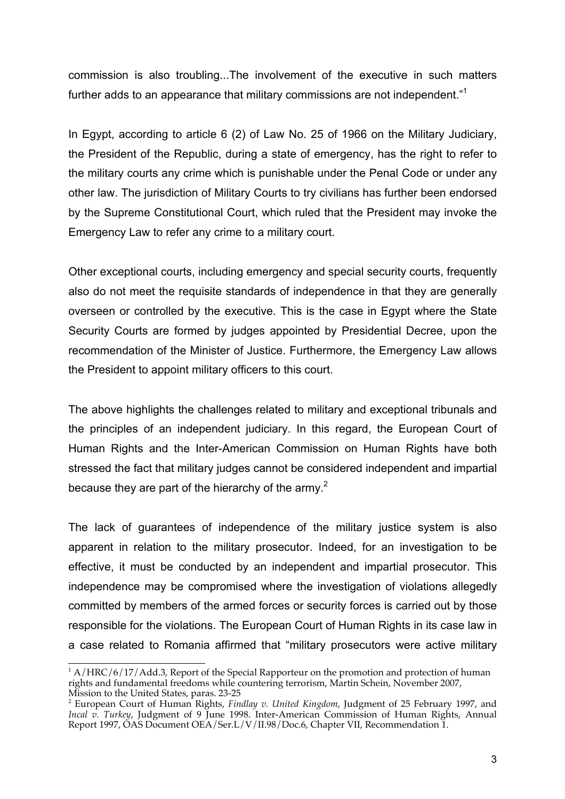commission is also troubling...The involvement of the executive in such matters further adds to an appearance that military commissions are not independent."<sup>1</sup>

In Egypt, according to article 6 (2) of Law No. 25 of 1966 on the Military Judiciary, the President of the Republic, during a state of emergency, has the right to refer to the military courts any crime which is punishable under the Penal Code or under any other law. The jurisdiction of Military Courts to try civilians has further been endorsed by the Supreme Constitutional Court, which ruled that the President may invoke the Emergency Law to refer any crime to a military court.

Other exceptional courts, including emergency and special security courts, frequently also do not meet the requisite standards of independence in that they are generally overseen or controlled by the executive. This is the case in Egypt where the State Security Courts are formed by judges appointed by Presidential Decree, upon the recommendation of the Minister of Justice. Furthermore, the Emergency Law allows the President to appoint military officers to this court.

The above highlights the challenges related to military and exceptional tribunals and the principles of an independent judiciary. In this regard, the European Court of Human Rights and the Inter-American Commission on Human Rights have both stressed the fact that military judges cannot be considered independent and impartial because they are part of the hierarchy of the army.<sup>2</sup>

The lack of guarantees of independence of the military justice system is also apparent in relation to the military prosecutor. Indeed, for an investigation to be effective, it must be conducted by an independent and impartial prosecutor. This independence may be compromised where the investigation of violations allegedly committed by members of the armed forces or security forces is carried out by those responsible for the violations. The European Court of Human Rights in its case law in a case related to Romania affirmed that "military prosecutors were active military

 $1 A/HRC/6/17/Add.3$ , Report of the Special Rapporteur on the promotion and protection of human rights and fundamental freedoms while countering terrorism, Martin Schein, November 2007, Mission to the United States, paras. 23-25

<sup>2</sup> European Court of Human Rights, *Findlay v. United Kingdom*, Judgment of 25 February 1997, and *Incal v. Turkey*, Judgment of 9 June 1998. Inter-American Commission of Human Rights, Annual Report 1997, OAS Document OEA/Ser.L/V/II.98/Doc.6, Chapter VII, Recommendation 1.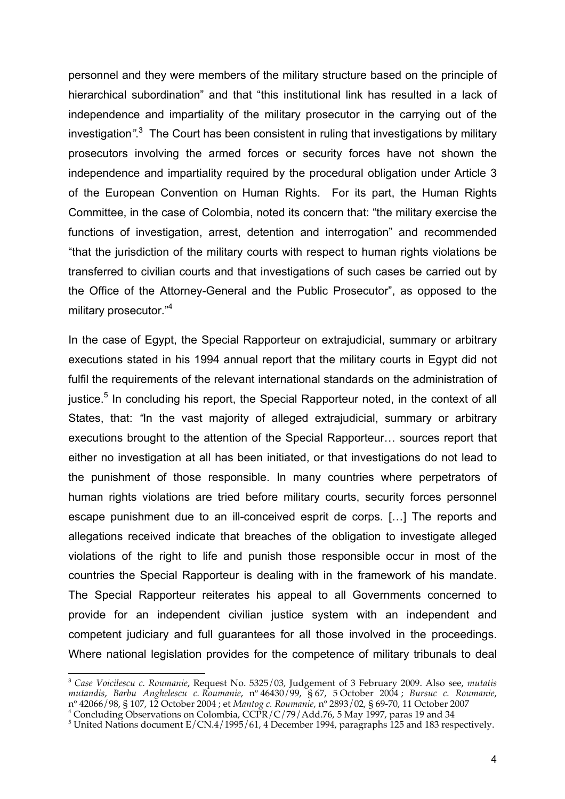personnel and they were members of the military structure based on the principle of hierarchical subordination" and that "this institutional link has resulted in a lack of independence and impartiality of the military prosecutor in the carrying out of the investigation*"*. 3 The Court has been consistent in ruling that investigations by military prosecutors involving the armed forces or security forces have not shown the independence and impartiality required by the procedural obligation under Article 3 of the European Convention on Human Rights. For its part, the Human Rights Committee, in the case of Colombia, noted its concern that: "the military exercise the functions of investigation, arrest, detention and interrogation" and recommended "that the jurisdiction of the military courts with respect to human rights violations be transferred to civilian courts and that investigations of such cases be carried out by the Office of the Attorney-General and the Public Prosecutor", as opposed to the military prosecutor."<sup>4</sup>

In the case of Egypt, the Special Rapporteur on extrajudicial, summary or arbitrary executions stated in his 1994 annual report that the military courts in Egypt did not fulfil the requirements of the relevant international standards on the administration of justice.<sup>5</sup> In concluding his report, the Special Rapporteur noted, in the context of all States, that: *"*In the vast majority of alleged extrajudicial, summary or arbitrary executions brought to the attention of the Special Rapporteur… sources report that either no investigation at all has been initiated, or that investigations do not lead to the punishment of those responsible. In many countries where perpetrators of human rights violations are tried before military courts, security forces personnel escape punishment due to an ill-conceived esprit de corps. […] The reports and allegations received indicate that breaches of the obligation to investigate alleged violations of the right to life and punish those responsible occur in most of the countries the Special Rapporteur is dealing with in the framework of his mandate. The Special Rapporteur reiterates his appeal to all Governments concerned to provide for an independent civilian justice system with an independent and competent judiciary and full guarantees for all those involved in the proceedings. Where national legislation provides for the competence of military tribunals to deal

 $\overline{a}$ <sup>3</sup> *Case Voicilescu c. Roumanie*, Request No. 5325/03*,* Judgement of 3 February 2009. Also see, *mutatis mutandis*, *Barbu Anghelescu c. Roumanie*, n<sup>o</sup> 46430/99, § 67, 5 October 2004 ; *Bursuc c. Roumanie*, nº 42066/98, § 107, 12 October 2004 ; et *Mantog c. Roumanie*, nº 2893/02, § 69-70, 11 October 2007<br><sup>4</sup> Concluding Observations on Colombia, CCPR/C/79/Add 76, 5 May 1997, paras 19 and 34

<sup>&</sup>lt;sup>4</sup> Concluding Observations on Colombia, CCPR/C/79/Add.76, 5 May 1997, paras 19 and 34<br><sup>5</sup> United Nations document E/CN.4/1995/61, 4 December 1994, paragraphs 125 and 183 respectively.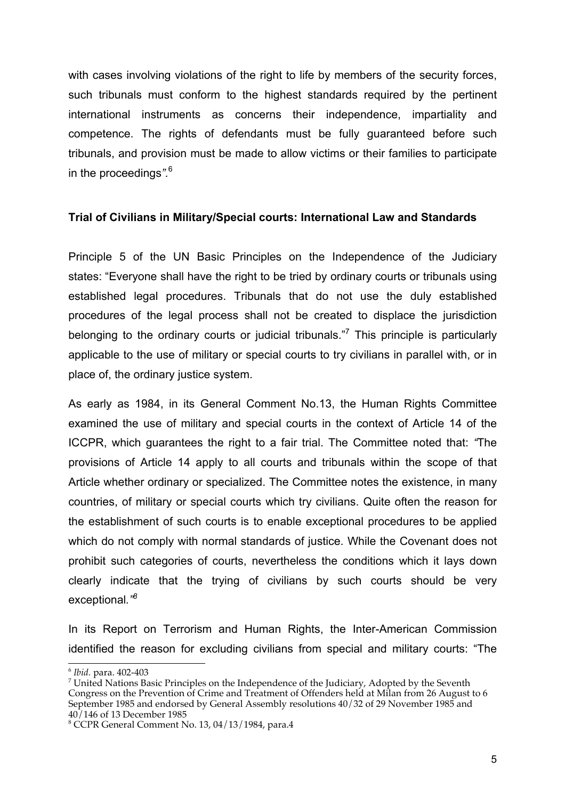with cases involving violations of the right to life by members of the security forces, such tribunals must conform to the highest standards required by the pertinent international instruments as concerns their independence, impartiality and competence. The rights of defendants must be fully guaranteed before such tribunals, and provision must be made to allow victims or their families to participate in the proceedings*".*<sup>6</sup>

### **Trial of Civilians in Military/Special courts: International Law and Standards**

Principle 5 of the UN Basic Principles on the Independence of the Judiciary states: "Everyone shall have the right to be tried by ordinary courts or tribunals using established legal procedures. Tribunals that do not use the duly established procedures of the legal process shall not be created to displace the jurisdiction belonging to the ordinary courts or judicial tribunals."<sup>7</sup> This principle is particularly applicable to the use of military or special courts to try civilians in parallel with, or in place of, the ordinary justice system.

As early as 1984, in its General Comment No.13, the Human Rights Committee examined the use of military and special courts in the context of Article 14 of the ICCPR, which guarantees the right to a fair trial. The Committee noted that: *"*The provisions of Article 14 apply to all courts and tribunals within the scope of that Article whether ordinary or specialized. The Committee notes the existence, in many countries, of military or special courts which try civilians. Quite often the reason for the establishment of such courts is to enable exceptional procedures to be applied which do not comply with normal standards of justice. While the Covenant does not prohibit such categories of courts, nevertheless the conditions which it lays down clearly indicate that the trying of civilians by such courts should be very exceptional*."8*

In its Report on Terrorism and Human Rights, the Inter-American Commission identified the reason for excluding civilians from special and military courts: "The

<sup>6</sup> *Ibid.* para. 402-403 <sup>7</sup>

 $\sigma$ <sup>7</sup> United Nations Basic Principles on the Independence of the Judiciary, Adopted by the Seventh Congress on the Prevention of Crime and Treatment of Offenders held at Milan from 26 August to 6 September 1985 and endorsed by General Assembly resolutions 40/32 of 29 November 1985 and 40/146 of 13 December 1985

<sup>8</sup> CCPR General Comment No. 13, 04/13/1984, para.4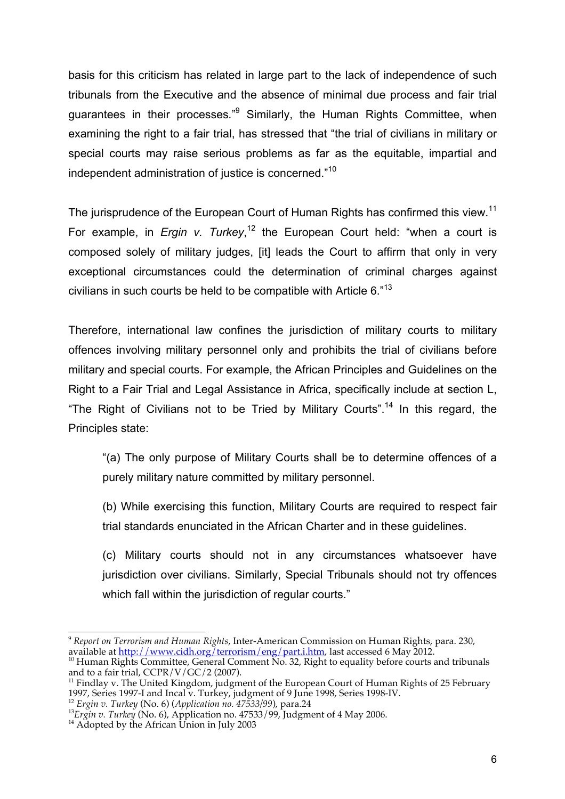basis for this criticism has related in large part to the lack of independence of such tribunals from the Executive and the absence of minimal due process and fair trial guarantees in their processes*.*" <sup>9</sup> Similarly, the Human Rights Committee, when examining the right to a fair trial, has stressed that "the trial of civilians in military or special courts may raise serious problems as far as the equitable, impartial and independent administration of justice is concerned."10

The jurisprudence of the European Court of Human Rights has confirmed this view.<sup>11</sup> For example, in *Ergin v. Turkey*, 12 the European Court held: "when a court is composed solely of military judges, [it] leads the Court to affirm that only in very exceptional circumstances could the determination of criminal charges against civilians in such courts be held to be compatible with Article 6."13

Therefore, international law confines the jurisdiction of military courts to military offences involving military personnel only and prohibits the trial of civilians before military and special courts. For example, the African Principles and Guidelines on the Right to a Fair Trial and Legal Assistance in Africa, specifically include at section L, "The Right of Civilians not to be Tried by Military Courts".<sup>14</sup> In this regard, the Principles state:

"(a) The only purpose of Military Courts shall be to determine offences of a purely military nature committed by military personnel.

(b) While exercising this function, Military Courts are required to respect fair trial standards enunciated in the African Charter and in these guidelines.

(c) Military courts should not in any circumstances whatsoever have jurisdiction over civilians. Similarly, Special Tribunals should not try offences which fall within the jurisdiction of regular courts."

<sup>9</sup> *Report on Terrorism and Human Rights*, Inter-American Commission on Human Rights, para. 230,

<sup>&</sup>lt;sup>10</sup> Human Rights Committee, General Comment No. 32, Right to equality before courts and tribunals and to a fair trial, CCPR/V/GC/2 (2007).

<sup>&</sup>lt;sup>11</sup> Findlay v. The United Kingdom, judgment of the European Court of Human Rights of 25 February 1997, Series 1997-I and Incal v. Turkey, judgment of 9 June 1998, Series 1998-IV.

 $\frac{12}{12}$  Ergin v. Turkey (No. 6) (Application no. 47533/99), para.24<br> $\frac{13}{12}$  Ergin v. Turkey (No. 6), Application no. 47533/99), para.24<br> $\frac{13}{14}$  Adopted by the African Union in July 2003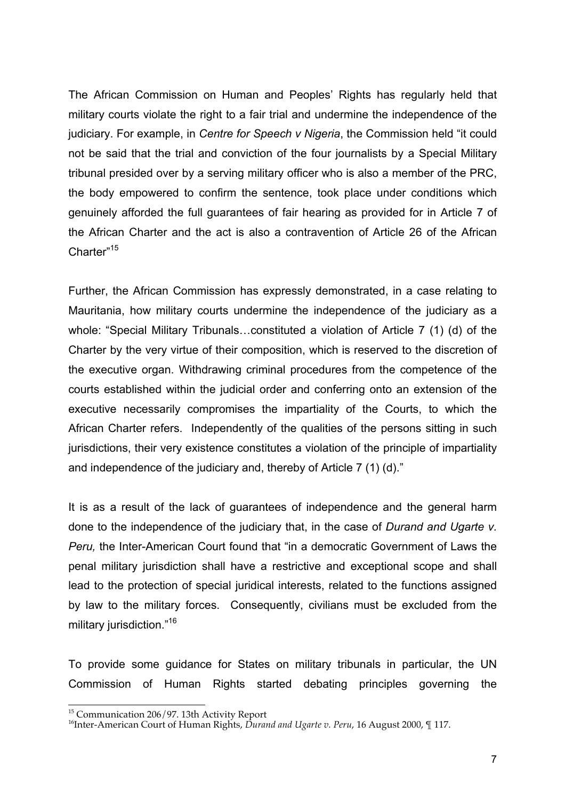The African Commission on Human and Peoples' Rights has regularly held that military courts violate the right to a fair trial and undermine the independence of the judiciary. For example, in *Centre for Speech v Nigeria*, the Commission held "it could not be said that the trial and conviction of the four journalists by a Special Military tribunal presided over by a serving military officer who is also a member of the PRC, the body empowered to confirm the sentence, took place under conditions which genuinely afforded the full guarantees of fair hearing as provided for in Article 7 of the African Charter and the act is also a contravention of Article 26 of the African Charter"<sup>15</sup>

Further, the African Commission has expressly demonstrated, in a case relating to Mauritania, how military courts undermine the independence of the judiciary as a whole: "Special Military Tribunals…constituted a violation of Article 7 (1) (d) of the Charter by the very virtue of their composition, which is reserved to the discretion of the executive organ. Withdrawing criminal procedures from the competence of the courts established within the judicial order and conferring onto an extension of the executive necessarily compromises the impartiality of the Courts, to which the African Charter refers. Independently of the qualities of the persons sitting in such jurisdictions, their very existence constitutes a violation of the principle of impartiality and independence of the judiciary and, thereby of Article 7 (1) (d)."

It is as a result of the lack of guarantees of independence and the general harm done to the independence of the judiciary that, in the case of *Durand and Ugarte v. Peru,* the Inter-American Court found that "in a democratic Government of Laws the penal military jurisdiction shall have a restrictive and exceptional scope and shall lead to the protection of special juridical interests, related to the functions assigned by law to the military forces. Consequently, civilians must be excluded from the military jurisdiction."<sup>16</sup>

To provide some guidance for States on military tribunals in particular, the UN Commission of Human Rights started debating principles governing the

 $\overline{a}$ <sup>15</sup> Communication 206/97. 13th Activity Report

<sup>16</sup>Inter-American Court of Human Rights, *Durand and Ugarte v. Peru*, 16 August 2000, ¶ 117.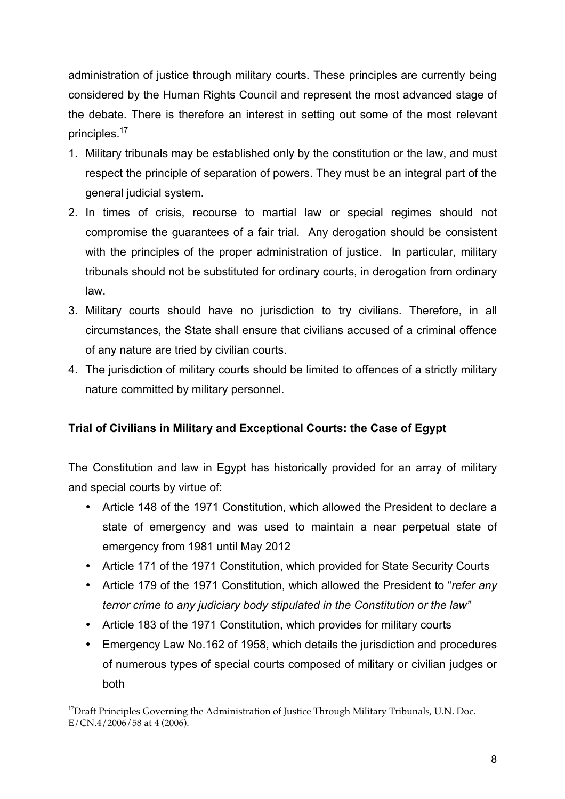administration of justice through military courts. These principles are currently being considered by the Human Rights Council and represent the most advanced stage of the debate. There is therefore an interest in setting out some of the most relevant principles.<sup>17</sup>

- 1. Military tribunals may be established only by the constitution or the law, and must respect the principle of separation of powers. They must be an integral part of the general judicial system.
- 2. In times of crisis, recourse to martial law or special regimes should not compromise the guarantees of a fair trial. Any derogation should be consistent with the principles of the proper administration of justice. In particular, military tribunals should not be substituted for ordinary courts, in derogation from ordinary law.
- 3. Military courts should have no jurisdiction to try civilians. Therefore, in all circumstances, the State shall ensure that civilians accused of a criminal offence of any nature are tried by civilian courts.
- 4. The jurisdiction of military courts should be limited to offences of a strictly military nature committed by military personnel.

## **Trial of Civilians in Military and Exceptional Courts: the Case of Egypt**

The Constitution and law in Egypt has historically provided for an array of military and special courts by virtue of:

- Article 148 of the 1971 Constitution, which allowed the President to declare a state of emergency and was used to maintain a near perpetual state of emergency from 1981 until May 2012
- Article 171 of the 1971 Constitution, which provided for State Security Courts
- Article 179 of the 1971 Constitution, which allowed the President to "*refer any terror crime to any judiciary body stipulated in the Constitution or the law"*
- Article 183 of the 1971 Constitution, which provides for military courts
- Emergency Law No.162 of 1958, which details the jurisdiction and procedures of numerous types of special courts composed of military or civilian judges or both

<sup>&</sup>lt;sup>17</sup>Draft Principles Governing the Administration of Justice Through Military Tribunals, U.N. Doc. E/CN.4/2006/58 at 4 (2006).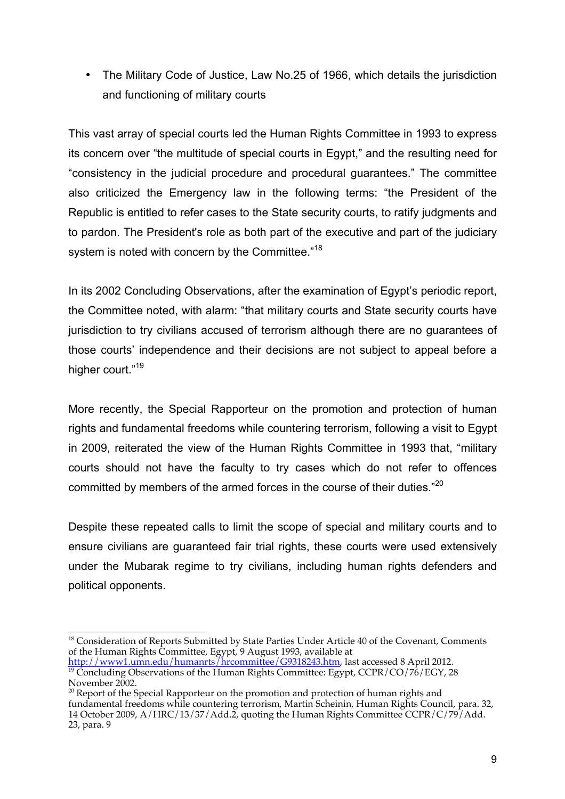• The Military Code of Justice, Law No.25 of 1966, which details the jurisdiction and functioning of military courts

This vast array of special courts led the Human Rights Committee in 1993 to express its concern over "the multitude of special courts in Egypt," and the resulting need for "consistency in the judicial procedure and procedural guarantees." The committee also criticized the Emergency law in the following terms: "the President of the Republic is entitled to refer cases to the State security courts, to ratify judgments and to pardon. The President's role as both part of the executive and part of the judiciary system is noted with concern by the Committee."<sup>18</sup>

In its 2002 Concluding Observations, after the examination of Egypt's periodic report, the Committee noted, with alarm: "that military courts and State security courts have jurisdiction to try civilians accused of terrorism although there are no guarantees of those courts' independence and their decisions are not subject to appeal before a higher court."<sup>19</sup>

More recently, the Special Rapporteur on the promotion and protection of human rights and fundamental freedoms while countering terrorism, following a visit to Egypt in 2009, reiterated the view of the Human Rights Committee in 1993 that, "military courts should not have the faculty to try cases which do not refer to offences committed by members of the armed forces in the course of their duties."<sup>20</sup>

Despite these repeated calls to limit the scope of special and military courts and to ensure civilians are guaranteed fair trial rights, these courts were used extensively under the Mubarak regime to try civilians, including human rights defenders and political opponents.

<sup>18</sup> Consideration of Reports Submitted by State Parties Under Article 40 of the Covenant, Comments of the Human Rights Committee, Egypt, 9 August 1993, available at

 $\frac{1}{2}$ Concluding Observations of the Human Rights Committee: Egypt, CCPR/CO/76/EGY, 28 November 2002.

<sup>&</sup>lt;sup>20</sup> Report of the Special Rapporteur on the promotion and protection of human rights and fundamental freedoms while countering terrorism, Martin Scheinin, Human Rights Council, para. 32, 14 October 2009, A/HRC/13/37/Add.2, quoting the Human Rights Committee CCPR/C/79/Add. 23, para. 9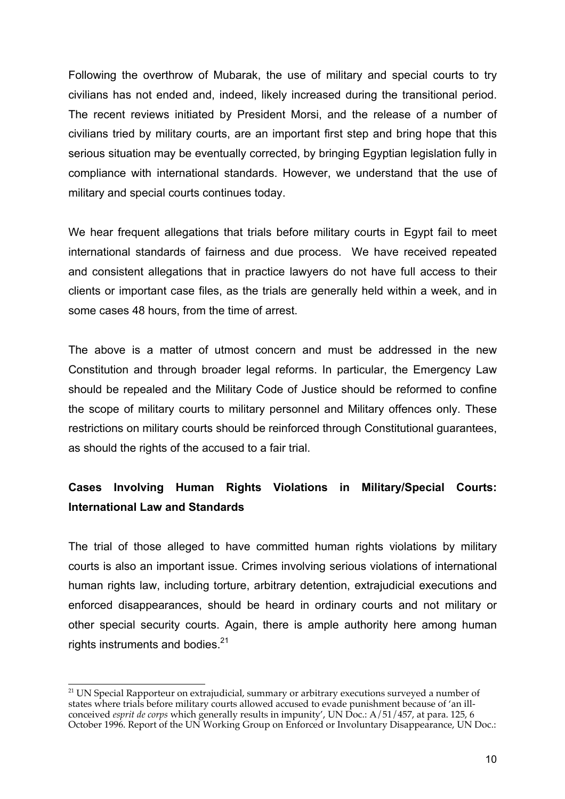Following the overthrow of Mubarak, the use of military and special courts to try civilians has not ended and, indeed, likely increased during the transitional period. The recent reviews initiated by President Morsi, and the release of a number of civilians tried by military courts, are an important first step and bring hope that this serious situation may be eventually corrected, by bringing Egyptian legislation fully in compliance with international standards. However, we understand that the use of military and special courts continues today.

We hear frequent allegations that trials before military courts in Egypt fail to meet international standards of fairness and due process. We have received repeated and consistent allegations that in practice lawyers do not have full access to their clients or important case files, as the trials are generally held within a week, and in some cases 48 hours, from the time of arrest.

The above is a matter of utmost concern and must be addressed in the new Constitution and through broader legal reforms. In particular, the Emergency Law should be repealed and the Military Code of Justice should be reformed to confine the scope of military courts to military personnel and Military offences only. These restrictions on military courts should be reinforced through Constitutional guarantees, as should the rights of the accused to a fair trial.

## **Cases Involving Human Rights Violations in Military/Special Courts: International Law and Standards**

The trial of those alleged to have committed human rights violations by military courts is also an important issue. Crimes involving serious violations of international human rights law, including torture, arbitrary detention, extrajudicial executions and enforced disappearances, should be heard in ordinary courts and not military or other special security courts. Again, there is ample authority here among human rights instruments and bodies. $21$ 

 $21$  UN Special Rapporteur on extrajudicial, summary or arbitrary executions surveyed a number of states where trials before military courts allowed accused to evade punishment because of 'an illconceived *esprit de corps* which generally results in impunity', UN Doc.: A/51/457, at para. 125, 6 October 1996. Report of the UN Working Group on Enforced or Involuntary Disappearance, UN Doc.: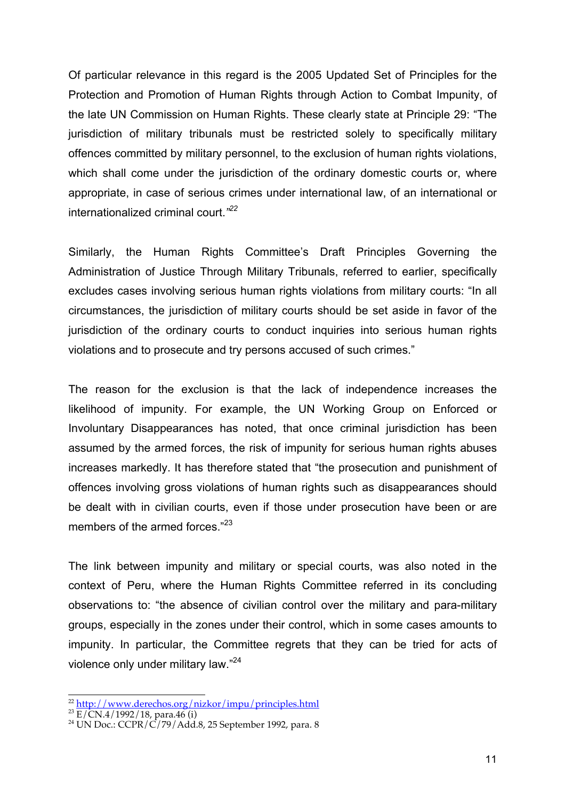Of particular relevance in this regard is the 2005 Updated Set of Principles for the Protection and Promotion of Human Rights through Action to Combat Impunity, of the late UN Commission on Human Rights. These clearly state at Principle 29: "The jurisdiction of military tribunals must be restricted solely to specifically military offences committed by military personnel, to the exclusion of human rights violations, which shall come under the jurisdiction of the ordinary domestic courts or, where appropriate, in case of serious crimes under international law, of an international or internationalized criminal court.*" 22*

Similarly, the Human Rights Committee's Draft Principles Governing the Administration of Justice Through Military Tribunals, referred to earlier, specifically excludes cases involving serious human rights violations from military courts: "In all circumstances, the jurisdiction of military courts should be set aside in favor of the jurisdiction of the ordinary courts to conduct inquiries into serious human rights violations and to prosecute and try persons accused of such crimes."

The reason for the exclusion is that the lack of independence increases the likelihood of impunity. For example, the UN Working Group on Enforced or Involuntary Disappearances has noted, that once criminal jurisdiction has been assumed by the armed forces, the risk of impunity for serious human rights abuses increases markedly. It has therefore stated that "the prosecution and punishment of offences involving gross violations of human rights such as disappearances should be dealt with in civilian courts, even if those under prosecution have been or are members of the armed forces."<sup>23</sup>

The link between impunity and military or special courts, was also noted in the context of Peru, where the Human Rights Committee referred in its concluding observations to: "the absence of civilian control over the military and para-military groups, especially in the zones under their control, which in some cases amounts to impunity. In particular, the Committee regrets that they can be tried for acts of violence only under military law."24

<sup>22</sup> <u>http://www.derechos.org/nizkor/impu/principles.html</u><br><sup>23</sup> E/CN.4/1992/18, para.46 (i)<br><sup>24</sup> UN Doc.: CCPR/C/79/Add.8, 25 September 1992, para. 8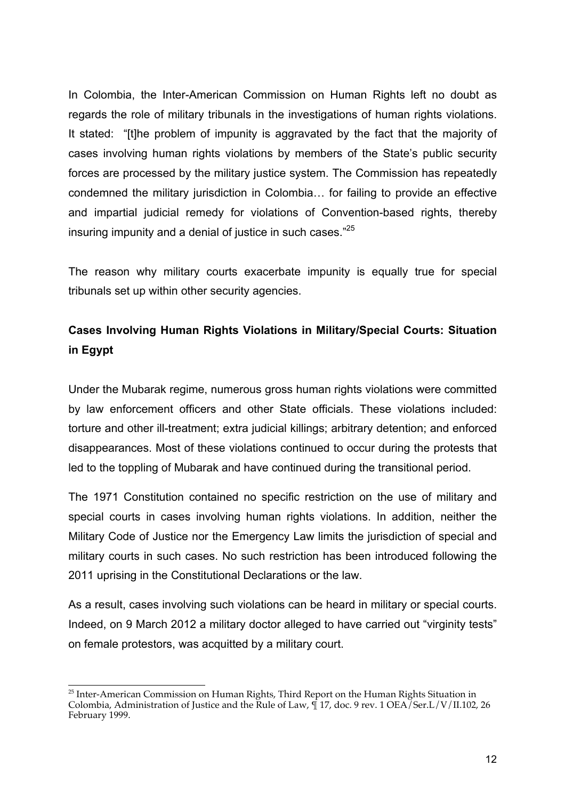In Colombia, the Inter-American Commission on Human Rights left no doubt as regards the role of military tribunals in the investigations of human rights violations. It stated: "[t]he problem of impunity is aggravated by the fact that the majority of cases involving human rights violations by members of the State's public security forces are processed by the military justice system. The Commission has repeatedly condemned the military jurisdiction in Colombia… for failing to provide an effective and impartial judicial remedy for violations of Convention-based rights, thereby insuring impunity and a denial of justice in such cases."<sup>25</sup>

The reason why military courts exacerbate impunity is equally true for special tribunals set up within other security agencies.

# **Cases Involving Human Rights Violations in Military/Special Courts: Situation in Egypt**

Under the Mubarak regime, numerous gross human rights violations were committed by law enforcement officers and other State officials. These violations included: torture and other ill-treatment; extra judicial killings; arbitrary detention; and enforced disappearances. Most of these violations continued to occur during the protests that led to the toppling of Mubarak and have continued during the transitional period.

The 1971 Constitution contained no specific restriction on the use of military and special courts in cases involving human rights violations. In addition, neither the Military Code of Justice nor the Emergency Law limits the jurisdiction of special and military courts in such cases. No such restriction has been introduced following the 2011 uprising in the Constitutional Declarations or the law.

As a result, cases involving such violations can be heard in military or special courts. Indeed, on 9 March 2012 a military doctor alleged to have carried out "virginity tests" on female protestors, was acquitted by a military court.

 $\overline{a}$  $^{25}$  Inter-American Commission on Human Rights, Third Report on the Human Rights Situation in Colombia, Administration of Justice and the Rule of Law, ¶ 17, doc. 9 rev. 1 OEA/Ser.L/V/II.102, 26 February 1999.